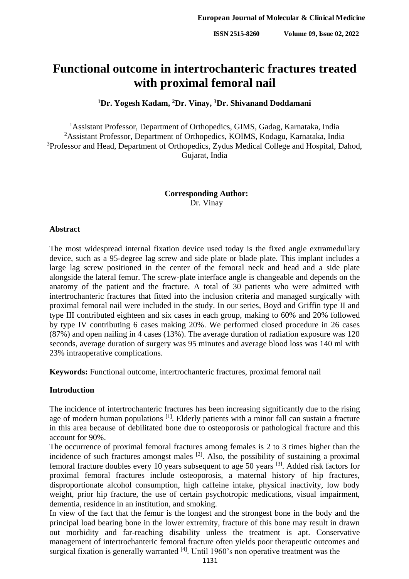# **Functional outcome in intertrochanteric fractures treated with proximal femoral nail**

## **<sup>1</sup>Dr. Yogesh Kadam, <sup>2</sup>Dr. Vinay, <sup>3</sup>Dr. Shivanand Doddamani**

<sup>1</sup> Assistant Professor, Department of Orthopedics, GIMS, Gadag, Karnataka, India <sup>2</sup>Assistant Professor, Department of Orthopedics, KOIMS, Kodagu, Karnataka, India <sup>3</sup>Professor and Head, Department of Orthopedics, Zydus Medical College and Hospital, Dahod, Gujarat, India

> **Corresponding Author:** Dr. Vinay

### **Abstract**

The most widespread internal fixation device used today is the fixed angle extramedullary device, such as a 95-degree lag screw and side plate or blade plate. This implant includes a large lag screw positioned in the center of the femoral neck and head and a side plate alongside the lateral femur. The screw-plate interface angle is changeable and depends on the anatomy of the patient and the fracture. A total of 30 patients who were admitted with intertrochanteric fractures that fitted into the inclusion criteria and managed surgically with proximal femoral nail were included in the study. In our series, Boyd and Griffin type II and type III contributed eighteen and six cases in each group, making to 60% and 20% followed by type IV contributing 6 cases making 20%. We performed closed procedure in 26 cases (87%) and open nailing in 4 cases (13%). The average duration of radiation exposure was 120 seconds, average duration of surgery was 95 minutes and average blood loss was 140 ml with 23% intraoperative complications.

**Keywords:** Functional outcome, intertrochanteric fractures, proximal femoral nail

## **Introduction**

The incidence of intertrochanteric fractures has been increasing significantly due to the rising age of modern human populations <sup>[1]</sup>. Elderly patients with a minor fall can sustain a fracture in this area because of debilitated bone due to osteoporosis or pathological fracture and this account for 90%.

The occurrence of proximal femoral fractures among females is 2 to 3 times higher than the incidence of such fractures amongst males  $[2]$ . Also, the possibility of sustaining a proximal femoral fracture doubles every 10 years subsequent to age 50 years [3]. Added risk factors for proximal femoral fractures include osteoporosis, a maternal history of hip fractures, disproportionate alcohol consumption, high caffeine intake, physical inactivity, low body weight, prior hip fracture, the use of certain psychotropic medications, visual impairment, dementia, residence in an institution, and smoking.

In view of the fact that the femur is the longest and the strongest bone in the body and the principal load bearing bone in the lower extremity, fracture of this bone may result in drawn out morbidity and far-reaching disability unless the treatment is apt. Conservative management of intertrochanteric femoral fracture often yields poor therapeutic outcomes and surgical fixation is generally warranted  $[4]$ . Until 1960's non operative treatment was the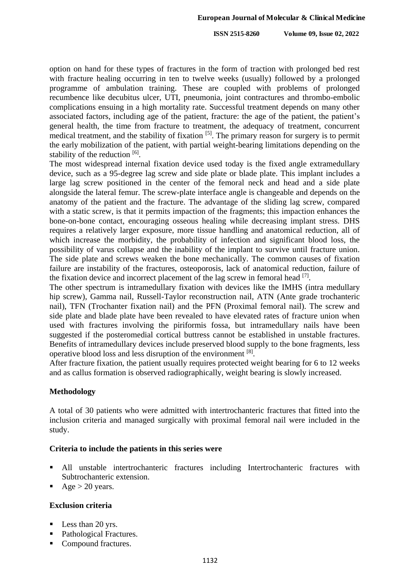**ISSN 2515-8260 Volume 09, Issue 02, 2022**

option on hand for these types of fractures in the form of traction with prolonged bed rest with fracture healing occurring in ten to twelve weeks (usually) followed by a prolonged programme of ambulation training. These are coupled with problems of prolonged recumbence like decubitus ulcer, UTI, pneumonia, joint contractures and thrombo-embolic complications ensuing in a high mortality rate. Successful treatment depends on many other associated factors, including age of the patient, fracture: the age of the patient, the patient's general health, the time from fracture to treatment, the adequacy of treatment, concurrent medical treatment, and the stability of fixation [5]. The primary reason for surgery is to permit the early mobilization of the patient, with partial weight-bearing limitations depending on the stability of the reduction [6].

The most widespread internal fixation device used today is the fixed angle extramedullary device, such as a 95-degree lag screw and side plate or blade plate. This implant includes a large lag screw positioned in the center of the femoral neck and head and a side plate alongside the lateral femur. The screw-plate interface angle is changeable and depends on the anatomy of the patient and the fracture. The advantage of the sliding lag screw, compared with a static screw, is that it permits impaction of the fragments; this impaction enhances the bone-on-bone contact, encouraging osseous healing while decreasing implant stress. DHS requires a relatively larger exposure, more tissue handling and anatomical reduction, all of which increase the morbidity, the probability of infection and significant blood loss, the possibility of varus collapse and the inability of the implant to survive until fracture union. The side plate and screws weaken the bone mechanically. The common causes of fixation failure are instability of the fractures, osteoporosis, lack of anatomical reduction, failure of the fixation device and incorrect placement of the lag screw in femoral head  $[7]$ .

The other spectrum is intramedullary fixation with devices like the IMHS (intra medullary hip screw), Gamma nail, Russell-Taylor reconstruction nail, ATN (Ante grade trochanteric nail), TFN (Trochanter fixation nail) and the PFN (Proximal femoral nail). The screw and side plate and blade plate have been revealed to have elevated rates of fracture union when used with fractures involving the piriformis fossa, but intramedullary nails have been suggested if the posteromedial cortical buttress cannot be established in unstable fractures. Benefits of intramedullary devices include preserved blood supply to the bone fragments, less operative blood loss and less disruption of the environment [8].

After fracture fixation, the patient usually requires protected weight bearing for 6 to 12 weeks and as callus formation is observed radiographically, weight bearing is slowly increased.

## **Methodology**

A total of 30 patients who were admitted with intertrochanteric fractures that fitted into the inclusion criteria and managed surgically with proximal femoral nail were included in the study.

## **Criteria to include the patients in this series were**

- All unstable intertrochanteric fractures including Intertrochanteric fractures with Subtrochanteric extension.
- Age  $> 20$  years.

## **Exclusion criteria**

- Less than 20 yrs.
- Pathological Fractures.
- Compound fractures.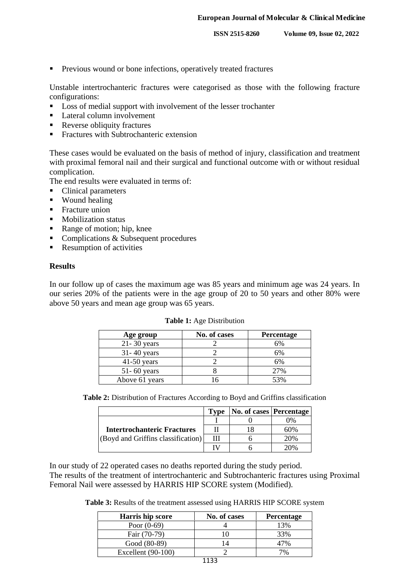**Previous wound or bone infections, operatively treated fractures** 

Unstable intertrochanteric fractures were categorised as those with the following fracture configurations:

- Loss of medial support with involvement of the lesser trochanter
- Lateral column involvement
- Reverse obliquity fractures
- **Fractures with Subtrochanteric extension**

These cases would be evaluated on the basis of method of injury, classification and treatment with proximal femoral nail and their surgical and functional outcome with or without residual complication.

The end results were evaluated in terms of:

- Clinical parameters
- **Wound healing**
- $\blacksquare$  Fracture union
- **Mobilization status**
- Range of motion; hip, knee
- Complications & Subsequent procedures
- Resumption of activities

#### **Results**

In our follow up of cases the maximum age was 85 years and minimum age was 24 years. In our series 20% of the patients were in the age group of 20 to 50 years and other 80% were above 50 years and mean age group was 65 years.

| Age group       | No. of cases | <b>Percentage</b> |
|-----------------|--------------|-------------------|
| $21 - 30$ years |              | 6%                |
| $31 - 40$ years |              | 6%                |
| $41-50$ years   |              | 6%                |
| $51 - 60$ years |              | 27%               |
| Above 61 years  |              | 53%               |

**Table 1:** Age Distribution

**Table 2:** Distribution of Fractures According to Boyd and Griffins classification

|                                                                          | Type | <b>No. of cases Percentage</b> |     |
|--------------------------------------------------------------------------|------|--------------------------------|-----|
|                                                                          |      |                                | 0%  |
| <b>Intertrochanteric Fractures</b><br>(Boyd and Griffins classification) |      |                                | 60% |
|                                                                          | Ш    |                                | 20% |
|                                                                          | TV   |                                | 20% |

In our study of 22 operated cases no deaths reported during the study period. The results of the treatment of intertrochanteric and Subtrochanteric fractures using Proximal Femoral Nail were assessed by HARRIS HIP SCORE system (Modified).

**Table 3:** Results of the treatment assessed using HARRIS HIP SCORE system

| Harris hip score     | No. of cases | Percentage |
|----------------------|--------------|------------|
| Poor $(0-69)$        |              | 13%        |
| Fair (70-79)         |              | 33%        |
| Good (80-89)         |              |            |
| Excellent $(90-100)$ |              | 7%         |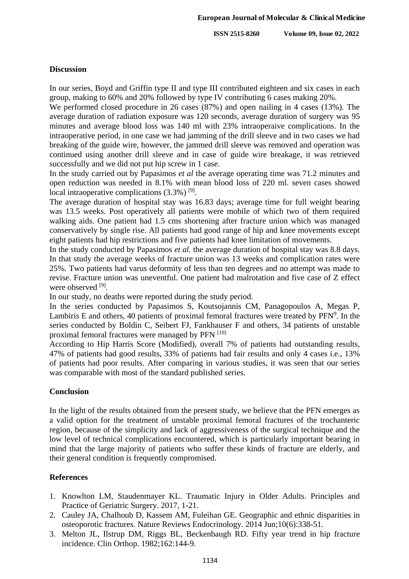**ISSN 2515-8260 Volume 09, Issue 02, 2022**

### **Discussion**

In our series, Boyd and Griffin type II and type III contributed eighteen and six cases in each group, making to 60% and 20% followed by type IV contributing 6 cases making 20%.

We performed closed procedure in 26 cases (87%) and open nailing in 4 cases (13%). The average duration of radiation exposure was 120 seconds, average duration of surgery was 95 minutes and average blood loss was 140 ml with 23% intraoperaive complications. In the intraoperative period, in one case we had jamming of the drill sleeve and in two cases we had breaking of the guide wire, however, the jammed drill sleeve was removed and operation was continued using another drill sleeve and in case of guide wire breakage, it was retrieved successfully and we did not put hip screw in 1 case.

In the study carried out by Papasimos *et al* the average operating time was 71.2 minutes and open reduction was needed in 8.1% with mean blood loss of 220 ml. seven cases showed local intraoperative complications (3.3%)<sup>[9]</sup>.

The average duration of hospital stay was 16.83 days; average time for full weight bearing was 13.5 weeks. Post operatively all patients were mobile of which two of them required walking aids. One patient had 1.5 cms shortening after fracture union which was managed conservatively by single rise. All patients had good range of hip and knee movements except eight patients had hip restrictions and five patients had knee limitation of movements.

In the study conducted by Papasimos *et al.* the average duration of hospital stay was 8.8 days. In that study the average weeks of fracture union was 13 weeks and complication rates were 25%. Two patients had varus deformity of less than ten degrees and no attempt was made to revise. Fracture union was uneventful. One patient had malrotation and five case of Z effect were observed [9].

In our study, no deaths were reported during the study period.

In the series conducted by Papasimos S, Koutsojannis CM, Panagopoulos A, Megas P, Lambiris E and others, 40 patients of proximal femoral fractures were treated by  $PFN<sup>9</sup>$ . In the series conducted by Boldin C, Seibert FJ, Fankhauser F and others, 34 patients of unstable proximal femoral fractures were managed by PFN [10]

According to Hip Harris Score (Modified), overall 7% of patients had outstanding results, 47% of patients had good results, 33% of patients had fair results and only 4 cases i.e., 13% of patients had poor results. After comparing in various studies, it was seen that our series was comparable with most of the standard published series.

## **Conclusion**

In the light of the results obtained from the present study, we believe that the PFN emerges as a valid option for the treatment of unstable proximal femoral fractures of the trochanteric region, because of the simplicity and lack of aggressiveness of the surgical technique and the low level of technical complications encountered, which is particularly important bearing in mind that the large majority of patients who suffer these kinds of fracture are elderly, and their general condition is frequently compromised.

## **References**

- 1. Knowlton LM, Staudenmayer KL. Traumatic Injury in Older Adults. Principles and Practice of Geriatric Surgery. 2017, 1-21.
- 2. Cauley JA, Chalhoub D, Kassem AM, Fuleihan GE. Geographic and ethnic disparities in osteoporotic fractures. Nature Reviews Endocrinology. 2014 Jun;10(6):338-51.
- 3. Melton JL, Ilstrup DM, Riggs BL, Beckenbaugh RD. Fifty year trend in hip fracture incidence. Clin Orthop. 1982;162:144-9.